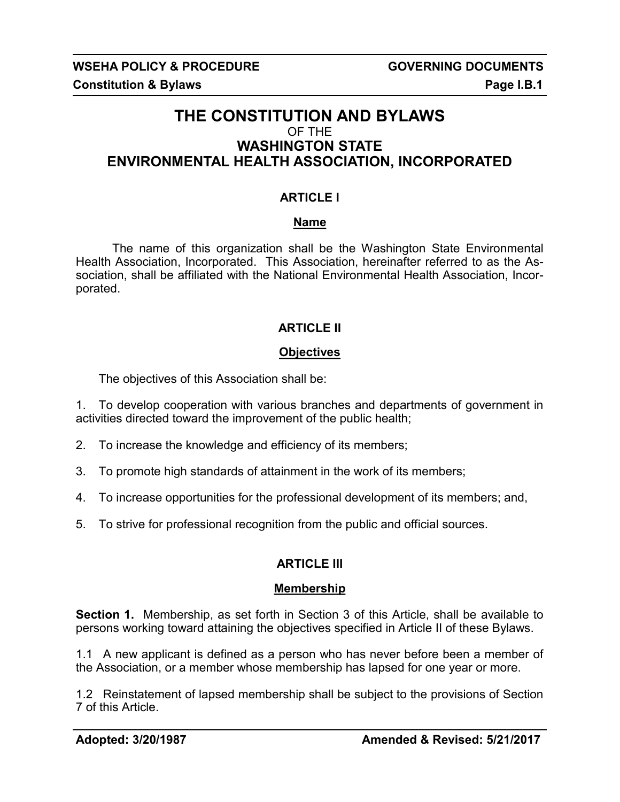## **THE CONSTITUTION AND BYLAWS** OF THE **WASHINGTON STATE ENVIRONMENTAL HEALTH ASSOCIATION, INCORPORATED**

### **ARTICLE I**

### **Name**

The name of this organization shall be the Washington State Environmental Health Association, Incorporated. This Association, hereinafter referred to as the Association, shall be affiliated with the National Environmental Health Association, Incorporated.

### **ARTICLE II**

### **Objectives**

The objectives of this Association shall be:

1. To develop cooperation with various branches and departments of government in activities directed toward the improvement of the public health;

- 2. To increase the knowledge and efficiency of its members;
- 3. To promote high standards of attainment in the work of its members;
- 4. To increase opportunities for the professional development of its members; and,
- 5. To strive for professional recognition from the public and official sources.

## **ARTICLE III**

### **Membership**

**Section 1.** Membership, as set forth in Section 3 of this Article, shall be available to persons working toward attaining the objectives specified in Article II of these Bylaws.

1.1 A new applicant is defined as a person who has never before been a member of the Association, or a member whose membership has lapsed for one year or more.

1.2 Reinstatement of lapsed membership shall be subject to the provisions of Section 7 of this Article.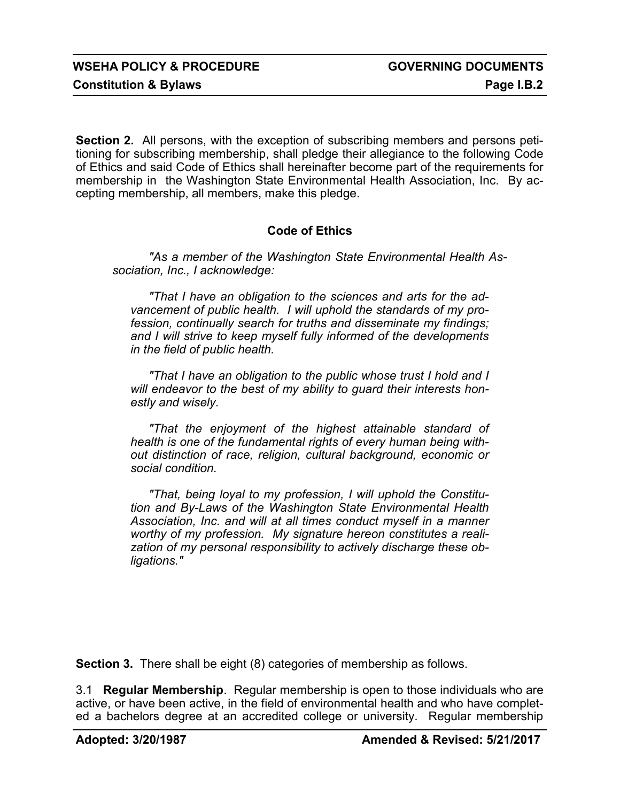**Section 2.** All persons, with the exception of subscribing members and persons petitioning for subscribing membership, shall pledge their allegiance to the following Code of Ethics and said Code of Ethics shall hereinafter become part of the requirements for membership in the Washington State Environmental Health Association, Inc. By accepting membership, all members, make this pledge.

### **Code of Ethics**

*"As a member of the Washington State Environmental Health Association, Inc., I acknowledge:*

*"That I have an obligation to the sciences and arts for the advancement of public health. I will uphold the standards of my profession, continually search for truths and disseminate my findings; and I will strive to keep myself fully informed of the developments in the field of public health.*

*"That I have an obligation to the public whose trust I hold and I will endeavor to the best of my ability to guard their interests honestly and wisely.*

*"That the enjoyment of the highest attainable standard of health is one of the fundamental rights of every human being without distinction of race, religion, cultural background, economic or social condition.*

*"That, being loyal to my profession, I will uphold the Constitution and By-Laws of the Washington State Environmental Health Association, Inc. and will at all times conduct myself in a manner worthy of my profession. My signature hereon constitutes a realization of my personal responsibility to actively discharge these obligations."*

**Section 3.** There shall be eight (8) categories of membership as follows.

3.1 **Regular Membership**. Regular membership is open to those individuals who are active, or have been active, in the field of environmental health and who have completed a bachelors degree at an accredited college or university. Regular membership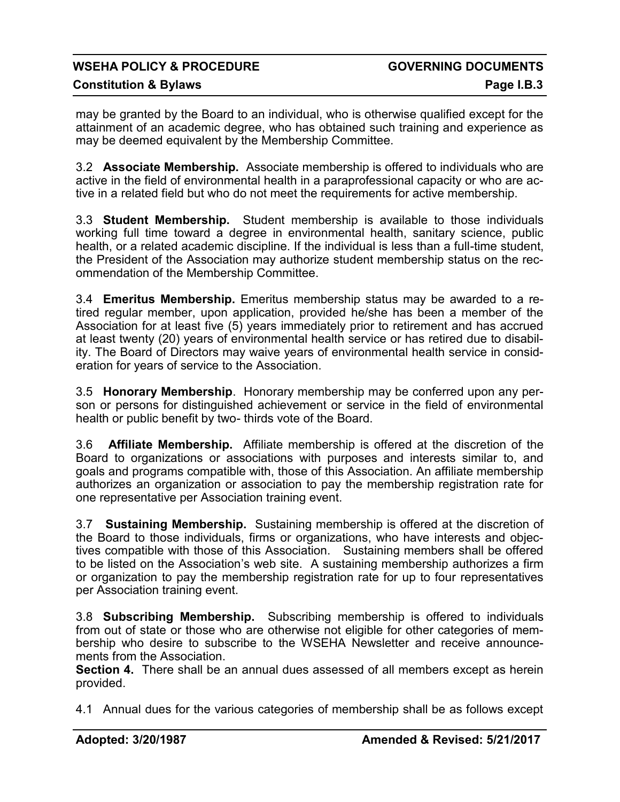# WSEHA POLICY & PROCEDURE **All the COVERNING DOCUMENTS**

### **Constitution & Bylaws Constitution & Bylaws**

may be granted by the Board to an individual, who is otherwise qualified except for the attainment of an academic degree, who has obtained such training and experience as may be deemed equivalent by the Membership Committee.

3.2 **Associate Membership.** Associate membership is offered to individuals who are active in the field of environmental health in a paraprofessional capacity or who are active in a related field but who do not meet the requirements for active membership.

3.3 **Student Membership.** Student membership is available to those individuals working full time toward a degree in environmental health, sanitary science, public health, or a related academic discipline. If the individual is less than a full-time student, the President of the Association may authorize student membership status on the recommendation of the Membership Committee.

3.4 **Emeritus Membership.** Emeritus membership status may be awarded to a retired regular member, upon application, provided he/she has been a member of the Association for at least five (5) years immediately prior to retirement and has accrued at least twenty (20) years of environmental health service or has retired due to disability. The Board of Directors may waive years of environmental health service in consideration for years of service to the Association.

3.5 **Honorary Membership**. Honorary membership may be conferred upon any person or persons for distinguished achievement or service in the field of environmental health or public benefit by two- thirds vote of the Board.

3.6 **Affiliate Membership.** Affiliate membership is offered at the discretion of the Board to organizations or associations with purposes and interests similar to, and goals and programs compatible with, those of this Association. An affiliate membership authorizes an organization or association to pay the membership registration rate for one representative per Association training event.

3.7 **Sustaining Membership.** Sustaining membership is offered at the discretion of the Board to those individuals, firms or organizations, who have interests and objectives compatible with those of this Association. Sustaining members shall be offered to be listed on the Association's web site. A sustaining membership authorizes a firm or organization to pay the membership registration rate for up to four representatives per Association training event.

3.8 **Subscribing Membership.** Subscribing membership is offered to individuals from out of state or those who are otherwise not eligible for other categories of membership who desire to subscribe to the WSEHA Newsletter and receive announcements from the Association.

**Section 4.** There shall be an annual dues assessed of all members except as herein provided.

4.1 Annual dues for the various categories of membership shall be as follows except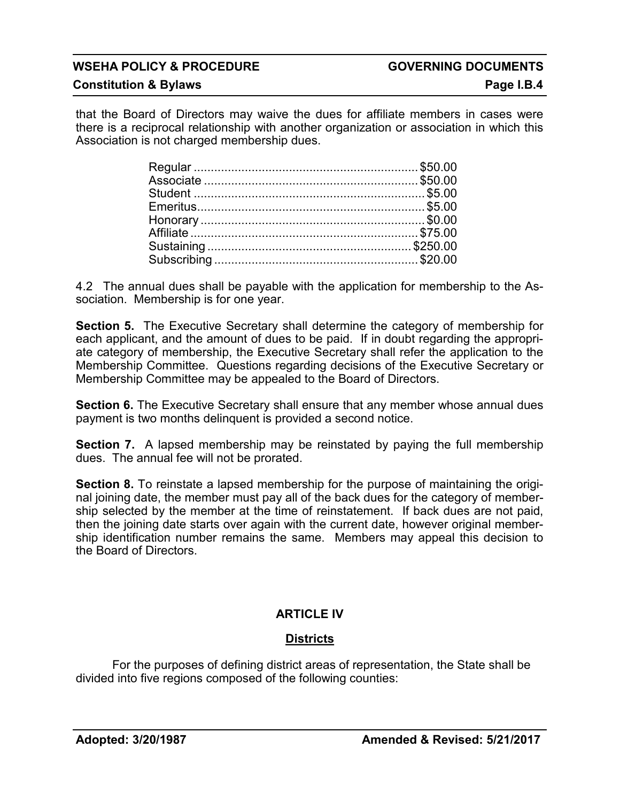**Constitution & Bylaws Constitution & Bylaws** 

that the Board of Directors may waive the dues for affiliate members in cases were there is a reciprocal relationship with another organization or association in which this Association is not charged membership dues.

4.2 The annual dues shall be payable with the application for membership to the Association. Membership is for one year.

**Section 5.** The Executive Secretary shall determine the category of membership for each applicant, and the amount of dues to be paid. If in doubt regarding the appropriate category of membership, the Executive Secretary shall refer the application to the Membership Committee. Questions regarding decisions of the Executive Secretary or Membership Committee may be appealed to the Board of Directors.

**Section 6.** The Executive Secretary shall ensure that any member whose annual dues payment is two months delinquent is provided a second notice.

**Section 7.** A lapsed membership may be reinstated by paying the full membership dues. The annual fee will not be prorated.

**Section 8.** To reinstate a lapsed membership for the purpose of maintaining the original joining date, the member must pay all of the back dues for the category of membership selected by the member at the time of reinstatement. If back dues are not paid, then the joining date starts over again with the current date, however original membership identification number remains the same. Members may appeal this decision to the Board of Directors.

## **ARTICLE IV**

## **Districts**

For the purposes of defining district areas of representation, the State shall be divided into five regions composed of the following counties: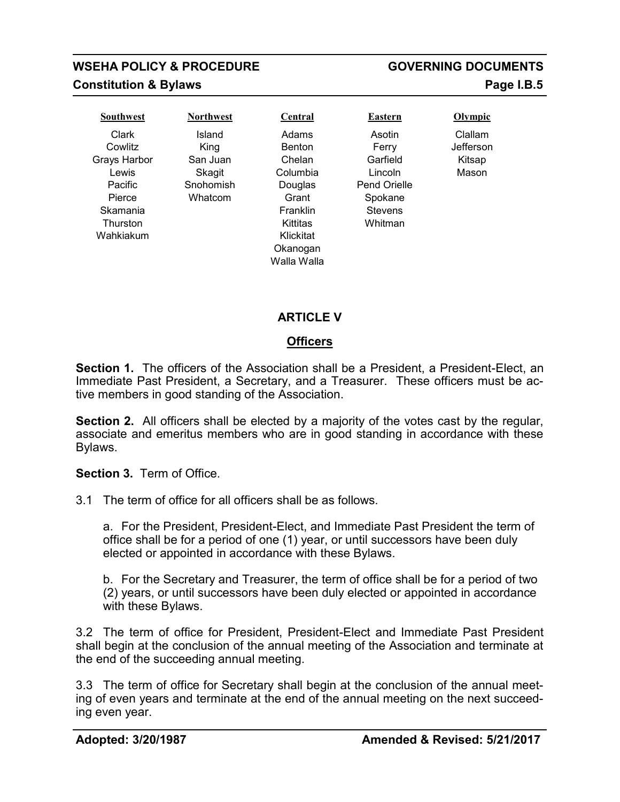## **WSEHA POLICY & PROCEDURE GOVERNING DOCUMENTS Constitution & Bylaws Page I.B.5**

Clark **Cowlitz** Grays Harbor Lewis Pacific Pierce Skamania **Thurston** Wahkiakum

Island King San Juan **Skagit Snohomish Whatcom** 

Adams Benton Chelan Columbia Douglas Grant Franklin Kittitas Klickitat Okanogan Walla Walla



Clallam Jefferson Kitsap Mason

## **ARTICLE V**

### **Officers**

**Section 1.** The officers of the Association shall be a President, a President-Elect, an Immediate Past President, a Secretary, and a Treasurer. These officers must be active members in good standing of the Association.

**Section 2.** All officers shall be elected by a majority of the votes cast by the regular, associate and emeritus members who are in good standing in accordance with these Bylaws.

**Section 3.** Term of Office.

3.1 The term of office for all officers shall be as follows.

a. For the President, President-Elect, and Immediate Past President the term of office shall be for a period of one (1) year, or until successors have been duly elected or appointed in accordance with these Bylaws.

b. For the Secretary and Treasurer, the term of office shall be for a period of two (2) years, or until successors have been duly elected or appointed in accordance with these Bylaws.

3.2 The term of office for President, President-Elect and Immediate Past President shall begin at the conclusion of the annual meeting of the Association and terminate at the end of the succeeding annual meeting.

3.3 The term of office for Secretary shall begin at the conclusion of the annual meeting of even years and terminate at the end of the annual meeting on the next succeeding even year.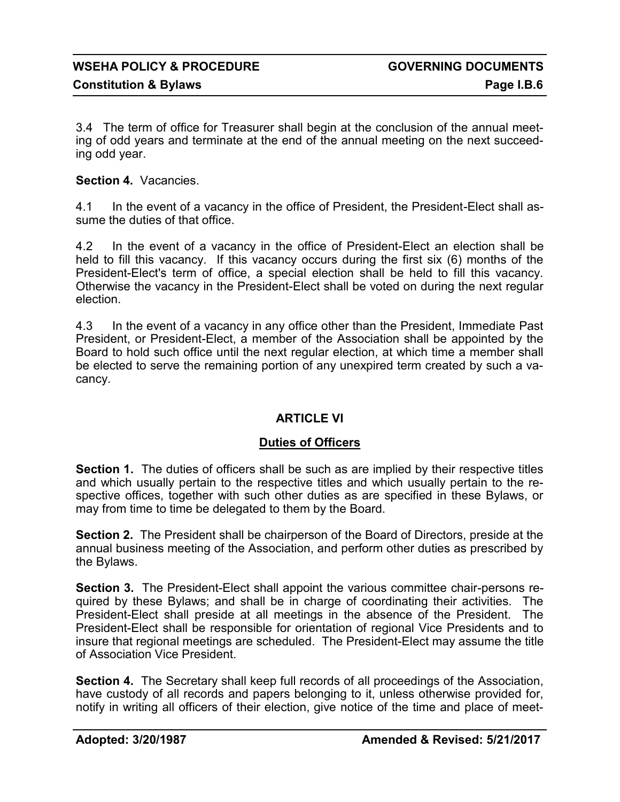3.4 The term of office for Treasurer shall begin at the conclusion of the annual meeting of odd years and terminate at the end of the annual meeting on the next succeeding odd year.

### **Section 4.** Vacancies.

4.1 In the event of a vacancy in the office of President, the President-Elect shall assume the duties of that office.

4.2 In the event of a vacancy in the office of President-Elect an election shall be held to fill this vacancy. If this vacancy occurs during the first six (6) months of the President-Elect's term of office, a special election shall be held to fill this vacancy. Otherwise the vacancy in the President-Elect shall be voted on during the next regular election.

4.3 In the event of a vacancy in any office other than the President, Immediate Past President, or President-Elect, a member of the Association shall be appointed by the Board to hold such office until the next regular election, at which time a member shall be elected to serve the remaining portion of any unexpired term created by such a vacancy.

### **ARTICLE VI**

### **Duties of Officers**

**Section 1.** The duties of officers shall be such as are implied by their respective titles and which usually pertain to the respective titles and which usually pertain to the respective offices, together with such other duties as are specified in these Bylaws, or may from time to time be delegated to them by the Board.

**Section 2.** The President shall be chairperson of the Board of Directors, preside at the annual business meeting of the Association, and perform other duties as prescribed by the Bylaws.

**Section 3.** The President-Elect shall appoint the various committee chair-persons required by these Bylaws; and shall be in charge of coordinating their activities. The President-Elect shall preside at all meetings in the absence of the President. The President-Elect shall be responsible for orientation of regional Vice Presidents and to insure that regional meetings are scheduled. The President-Elect may assume the title of Association Vice President.

**Section 4.** The Secretary shall keep full records of all proceedings of the Association, have custody of all records and papers belonging to it, unless otherwise provided for, notify in writing all officers of their election, give notice of the time and place of meet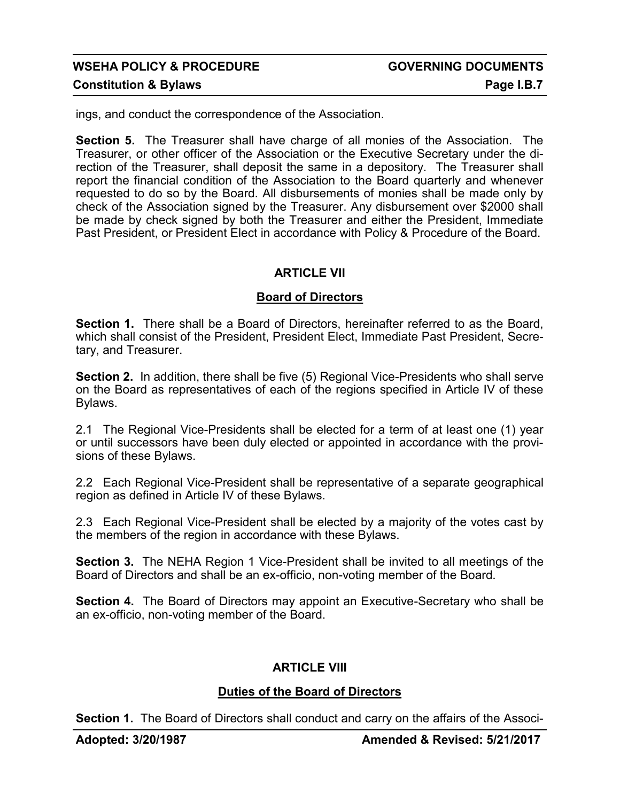ings, and conduct the correspondence of the Association.

**Section 5.** The Treasurer shall have charge of all monies of the Association. The Treasurer, or other officer of the Association or the Executive Secretary under the direction of the Treasurer, shall deposit the same in a depository. The Treasurer shall report the financial condition of the Association to the Board quarterly and whenever requested to do so by the Board. All disbursements of monies shall be made only by check of the Association signed by the Treasurer. Any disbursement over \$2000 shall be made by check signed by both the Treasurer and either the President, Immediate Past President, or President Elect in accordance with Policy & Procedure of the Board.

### **ARTICLE VII**

### **Board of Directors**

**Section 1.** There shall be a Board of Directors, hereinafter referred to as the Board, which shall consist of the President, President Elect, Immediate Past President, Secretary, and Treasurer.

**Section 2.** In addition, there shall be five (5) Regional Vice-Presidents who shall serve on the Board as representatives of each of the regions specified in Article IV of these Bylaws.

2.1 The Regional Vice-Presidents shall be elected for a term of at least one (1) year or until successors have been duly elected or appointed in accordance with the provisions of these Bylaws.

2.2 Each Regional Vice-President shall be representative of a separate geographical region as defined in Article IV of these Bylaws.

2.3 Each Regional Vice-President shall be elected by a majority of the votes cast by the members of the region in accordance with these Bylaws.

**Section 3.** The NEHA Region 1 Vice-President shall be invited to all meetings of the Board of Directors and shall be an ex-officio, non-voting member of the Board.

**Section 4.** The Board of Directors may appoint an Executive-Secretary who shall be an ex-officio, non-voting member of the Board.

### **ARTICLE VIII**

### **Duties of the Board of Directors**

**Section 1.** The Board of Directors shall conduct and carry on the affairs of the Associ-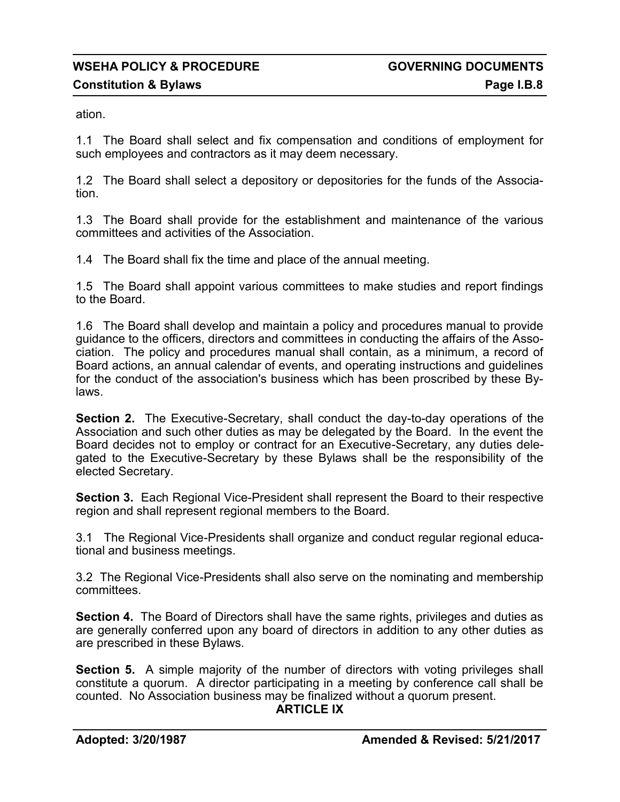ation.

1.1 The Board shall select and fix compensation and conditions of employment for such employees and contractors as it may deem necessary.

1.2 The Board shall select a depository or depositories for the funds of the Association.

1.3 The Board shall provide for the establishment and maintenance of the various committees and activities of the Association.

1.4 The Board shall fix the time and place of the annual meeting.

1.5 The Board shall appoint various committees to make studies and report findings to the Board.

1.6 The Board shall develop and maintain a policy and procedures manual to provide guidance to the officers, directors and committees in conducting the affairs of the Association. The policy and procedures manual shall contain, as a minimum, a record of Board actions, an annual calendar of events, and operating instructions and guidelines for the conduct of the association's business which has been proscribed by these Bylaws.

**Section 2.** The Executive-Secretary, shall conduct the day-to-day operations of the Association and such other duties as may be delegated by the Board. In the event the Board decides not to employ or contract for an Executive-Secretary, any duties delegated to the Executive-Secretary by these Bylaws shall be the responsibility of the elected Secretary.

**Section 3.** Each Regional Vice-President shall represent the Board to their respective region and shall represent regional members to the Board.

3.1 The Regional Vice-Presidents shall organize and conduct regular regional educational and business meetings.

3.2 The Regional Vice-Presidents shall also serve on the nominating and membership committees.

**Section 4.** The Board of Directors shall have the same rights, privileges and duties as are generally conferred upon any board of directors in addition to any other duties as are prescribed in these Bylaws.

**Section 5.** A simple majority of the number of directors with voting privileges shall constitute a quorum. A director participating in a meeting by conference call shall be counted. No Association business may be finalized without a quorum present.

### **ARTICLE IX**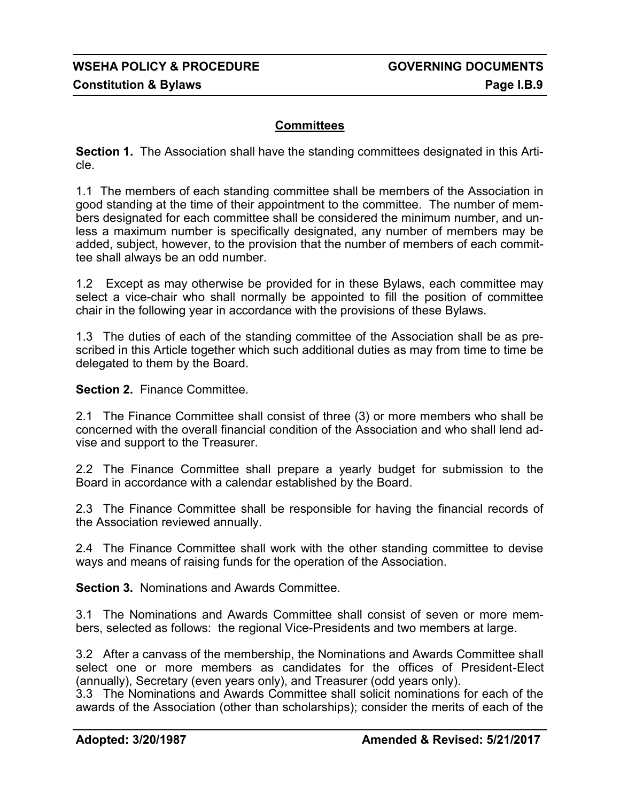### **Committees**

**Section 1.** The Association shall have the standing committees designated in this Article.

1.1 The members of each standing committee shall be members of the Association in good standing at the time of their appointment to the committee. The number of members designated for each committee shall be considered the minimum number, and unless a maximum number is specifically designated, any number of members may be added, subject, however, to the provision that the number of members of each committee shall always be an odd number.

1.2 Except as may otherwise be provided for in these Bylaws, each committee may select a vice-chair who shall normally be appointed to fill the position of committee chair in the following year in accordance with the provisions of these Bylaws.

1.3 The duties of each of the standing committee of the Association shall be as prescribed in this Article together which such additional duties as may from time to time be delegated to them by the Board.

**Section 2.** Finance Committee.

2.1 The Finance Committee shall consist of three (3) or more members who shall be concerned with the overall financial condition of the Association and who shall lend advise and support to the Treasurer.

2.2 The Finance Committee shall prepare a yearly budget for submission to the Board in accordance with a calendar established by the Board.

2.3 The Finance Committee shall be responsible for having the financial records of the Association reviewed annually.

2.4 The Finance Committee shall work with the other standing committee to devise ways and means of raising funds for the operation of the Association.

**Section 3.** Nominations and Awards Committee.

3.1 The Nominations and Awards Committee shall consist of seven or more members, selected as follows: the regional Vice-Presidents and two members at large.

3.2 After a canvass of the membership, the Nominations and Awards Committee shall select one or more members as candidates for the offices of President-Elect (annually), Secretary (even years only), and Treasurer (odd years only).

3.3 The Nominations and Awards Committee shall solicit nominations for each of the awards of the Association (other than scholarships); consider the merits of each of the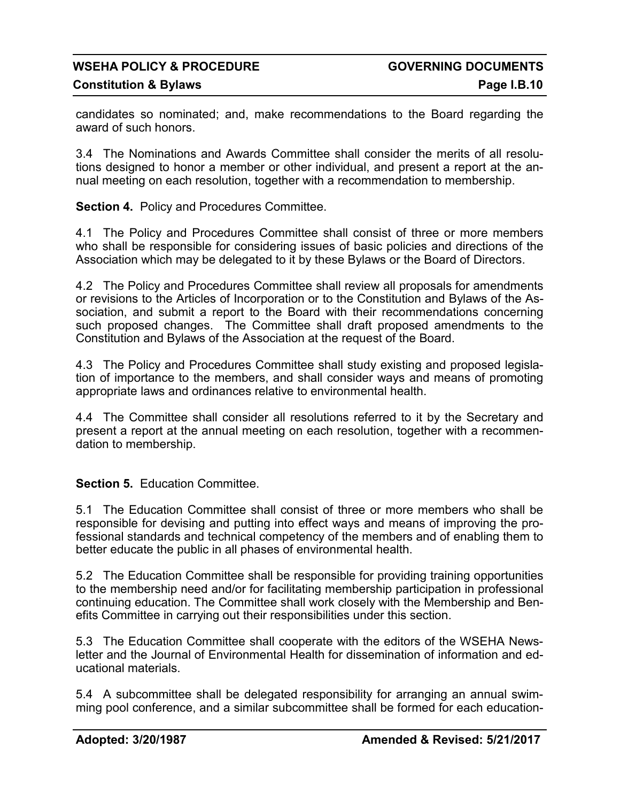candidates so nominated; and, make recommendations to the Board regarding the award of such honors.

3.4 The Nominations and Awards Committee shall consider the merits of all resolutions designed to honor a member or other individual, and present a report at the annual meeting on each resolution, together with a recommendation to membership.

**Section 4.** Policy and Procedures Committee.

4.1 The Policy and Procedures Committee shall consist of three or more members who shall be responsible for considering issues of basic policies and directions of the Association which may be delegated to it by these Bylaws or the Board of Directors.

4.2 The Policy and Procedures Committee shall review all proposals for amendments or revisions to the Articles of Incorporation or to the Constitution and Bylaws of the Association, and submit a report to the Board with their recommendations concerning such proposed changes. The Committee shall draft proposed amendments to the Constitution and Bylaws of the Association at the request of the Board.

4.3 The Policy and Procedures Committee shall study existing and proposed legislation of importance to the members, and shall consider ways and means of promoting appropriate laws and ordinances relative to environmental health.

4.4 The Committee shall consider all resolutions referred to it by the Secretary and present a report at the annual meeting on each resolution, together with a recommendation to membership.

### **Section 5.** Education Committee.

5.1 The Education Committee shall consist of three or more members who shall be responsible for devising and putting into effect ways and means of improving the professional standards and technical competency of the members and of enabling them to better educate the public in all phases of environmental health.

5.2 The Education Committee shall be responsible for providing training opportunities to the membership need and/or for facilitating membership participation in professional continuing education. The Committee shall work closely with the Membership and Benefits Committee in carrying out their responsibilities under this section.

5.3 The Education Committee shall cooperate with the editors of the WSEHA Newsletter and the Journal of Environmental Health for dissemination of information and educational materials.

5.4 A subcommittee shall be delegated responsibility for arranging an annual swimming pool conference, and a similar subcommittee shall be formed for each education-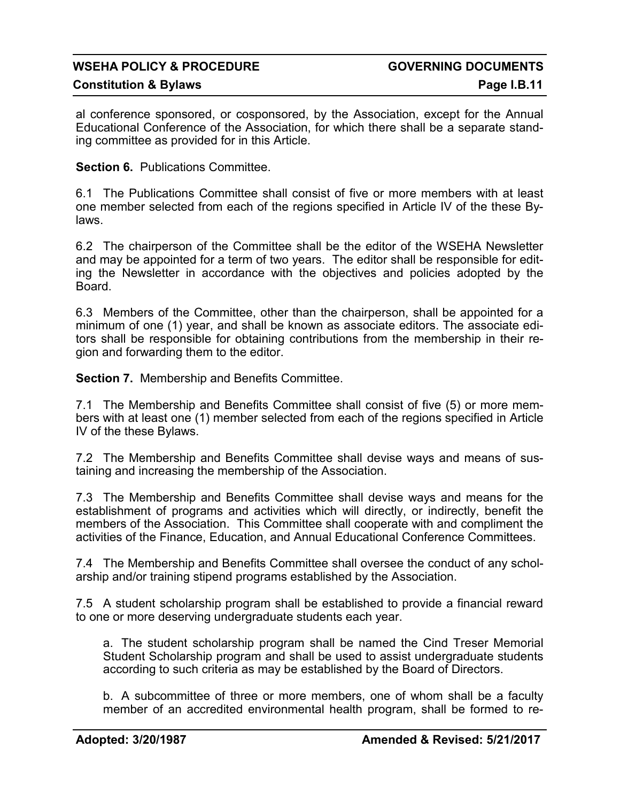### **Constitution & Bylaws Page I.B.11**

al conference sponsored, or cosponsored, by the Association, except for the Annual Educational Conference of the Association, for which there shall be a separate standing committee as provided for in this Article.

**Section 6. Publications Committee.** 

6.1 The Publications Committee shall consist of five or more members with at least one member selected from each of the regions specified in Article IV of the these Bylaws.

6.2 The chairperson of the Committee shall be the editor of the WSEHA Newsletter and may be appointed for a term of two years. The editor shall be responsible for editing the Newsletter in accordance with the objectives and policies adopted by the Board.

6.3 Members of the Committee, other than the chairperson, shall be appointed for a minimum of one (1) year, and shall be known as associate editors. The associate editors shall be responsible for obtaining contributions from the membership in their region and forwarding them to the editor.

**Section 7.** Membership and Benefits Committee.

7.1 The Membership and Benefits Committee shall consist of five (5) or more members with at least one (1) member selected from each of the regions specified in Article IV of the these Bylaws.

7.2 The Membership and Benefits Committee shall devise ways and means of sustaining and increasing the membership of the Association.

7.3 The Membership and Benefits Committee shall devise ways and means for the establishment of programs and activities which will directly, or indirectly, benefit the members of the Association. This Committee shall cooperate with and compliment the activities of the Finance, Education, and Annual Educational Conference Committees.

7.4 The Membership and Benefits Committee shall oversee the conduct of any scholarship and/or training stipend programs established by the Association.

7.5 A student scholarship program shall be established to provide a financial reward to one or more deserving undergraduate students each year.

a. The student scholarship program shall be named the Cind Treser Memorial Student Scholarship program and shall be used to assist undergraduate students according to such criteria as may be established by the Board of Directors.

b. A subcommittee of three or more members, one of whom shall be a faculty member of an accredited environmental health program, shall be formed to re-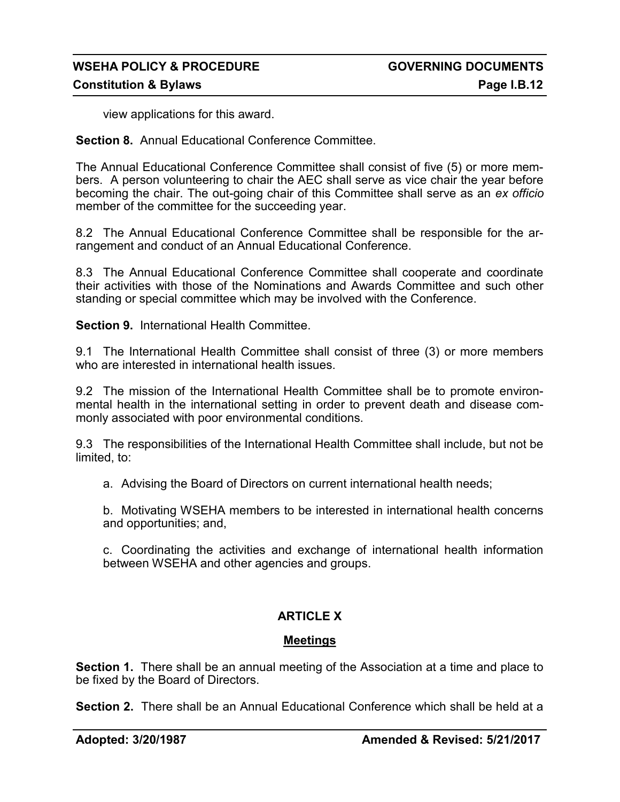view applications for this award.

**Section 8.** Annual Educational Conference Committee.

The Annual Educational Conference Committee shall consist of five (5) or more members. A person volunteering to chair the AEC shall serve as vice chair the year before becoming the chair. The out-going chair of this Committee shall serve as an *ex officio* member of the committee for the succeeding year.

8.2 The Annual Educational Conference Committee shall be responsible for the arrangement and conduct of an Annual Educational Conference.

8.3 The Annual Educational Conference Committee shall cooperate and coordinate their activities with those of the Nominations and Awards Committee and such other standing or special committee which may be involved with the Conference.

**Section 9.** International Health Committee.

9.1 The International Health Committee shall consist of three (3) or more members who are interested in international health issues.

9.2 The mission of the International Health Committee shall be to promote environmental health in the international setting in order to prevent death and disease commonly associated with poor environmental conditions.

9.3 The responsibilities of the International Health Committee shall include, but not be limited, to:

a. Advising the Board of Directors on current international health needs;

b. Motivating WSEHA members to be interested in international health concerns and opportunities; and,

c. Coordinating the activities and exchange of international health information between WSEHA and other agencies and groups.

### **ARTICLE X**

### **Meetings**

**Section 1.** There shall be an annual meeting of the Association at a time and place to be fixed by the Board of Directors.

**Section 2.** There shall be an Annual Educational Conference which shall be held at a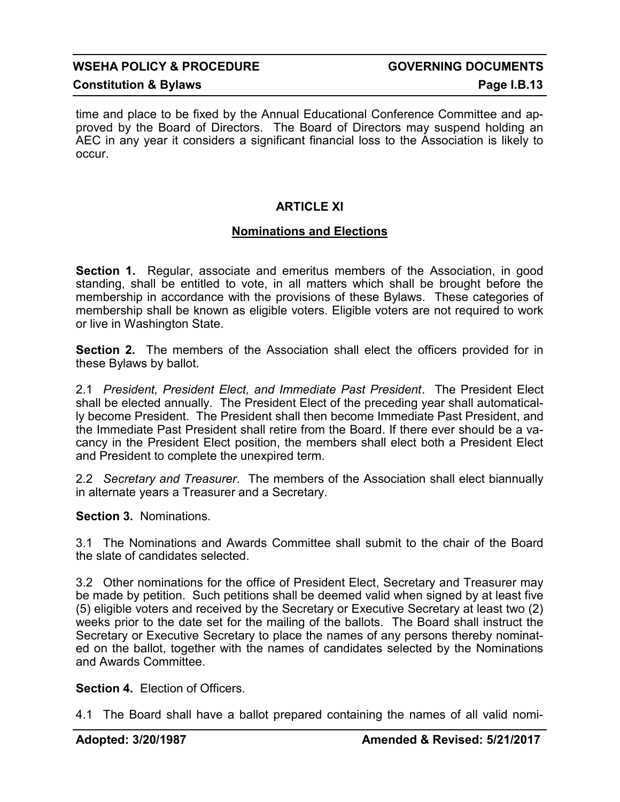### **Constitution & Bylaws Page I.B.13**

time and place to be fixed by the Annual Educational Conference Committee and approved by the Board of Directors. The Board of Directors may suspend holding an AEC in any year it considers a significant financial loss to the Association is likely to occur.

### **ARTICLE XI**

### **Nominations and Elections**

**Section 1.** Regular, associate and emeritus members of the Association, in good standing, shall be entitled to vote, in all matters which shall be brought before the membership in accordance with the provisions of these Bylaws. These categories of membership shall be known as eligible voters. Eligible voters are not required to work or live in Washington State.

**Section 2.** The members of the Association shall elect the officers provided for in these Bylaws by ballot.

2.1 *President, President Elect, and Immediate Past President*. The President Elect shall be elected annually. The President Elect of the preceding year shall automatically become President. The President shall then become Immediate Past President, and the Immediate Past President shall retire from the Board. If there ever should be a vacancy in the President Elect position, the members shall elect both a President Elect and President to complete the unexpired term.

2.2 *Secretary and Treasurer*. The members of the Association shall elect biannually in alternate years a Treasurer and a Secretary.

**Section 3.** Nominations.

3.1 The Nominations and Awards Committee shall submit to the chair of the Board the slate of candidates selected.

3.2 Other nominations for the office of President Elect, Secretary and Treasurer may be made by petition. Such petitions shall be deemed valid when signed by at least five (5) eligible voters and received by the Secretary or Executive Secretary at least two (2) weeks prior to the date set for the mailing of the ballots. The Board shall instruct the Secretary or Executive Secretary to place the names of any persons thereby nominated on the ballot, together with the names of candidates selected by the Nominations and Awards Committee.

**Section 4.** Election of Officers.

4.1 The Board shall have a ballot prepared containing the names of all valid nomi-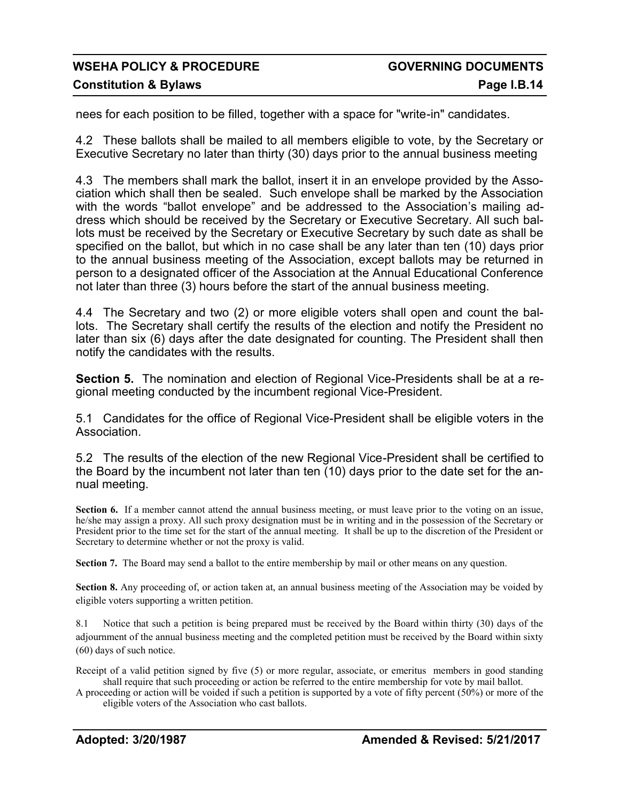nees for each position to be filled, together with a space for "write-in" candidates.

4.2 These ballots shall be mailed to all members eligible to vote, by the Secretary or Executive Secretary no later than thirty (30) days prior to the annual business meeting

4.3 The members shall mark the ballot, insert it in an envelope provided by the Association which shall then be sealed. Such envelope shall be marked by the Association with the words "ballot envelope" and be addressed to the Association's mailing address which should be received by the Secretary or Executive Secretary. All such ballots must be received by the Secretary or Executive Secretary by such date as shall be specified on the ballot, but which in no case shall be any later than ten (10) days prior to the annual business meeting of the Association, except ballots may be returned in person to a designated officer of the Association at the Annual Educational Conference not later than three (3) hours before the start of the annual business meeting.

4.4 The Secretary and two (2) or more eligible voters shall open and count the ballots. The Secretary shall certify the results of the election and notify the President no later than six (6) days after the date designated for counting. The President shall then notify the candidates with the results.

**Section 5.** The nomination and election of Regional Vice-Presidents shall be at a regional meeting conducted by the incumbent regional Vice-President.

5.1 Candidates for the office of Regional Vice-President shall be eligible voters in the Association.

5.2 The results of the election of the new Regional Vice-President shall be certified to the Board by the incumbent not later than ten (10) days prior to the date set for the annual meeting.

**Section 6.** If a member cannot attend the annual business meeting, or must leave prior to the voting on an issue, he/she may assign a proxy. All such proxy designation must be in writing and in the possession of the Secretary or President prior to the time set for the start of the annual meeting. It shall be up to the discretion of the President or Secretary to determine whether or not the proxy is valid.

**Section 7.** The Board may send a ballot to the entire membership by mail or other means on any question.

**Section 8.** Any proceeding of, or action taken at, an annual business meeting of the Association may be voided by eligible voters supporting a written petition.

8.1 Notice that such a petition is being prepared must be received by the Board within thirty (30) days of the adjournment of the annual business meeting and the completed petition must be received by the Board within sixty (60) days of such notice.

Receipt of a valid petition signed by five (5) or more regular, associate, or emeritus members in good standing shall require that such proceeding or action be referred to the entire membership for vote by mail ballot.

A proceeding or action will be voided if such a petition is supported by a vote of fifty percent (50%) or more of the eligible voters of the Association who cast ballots.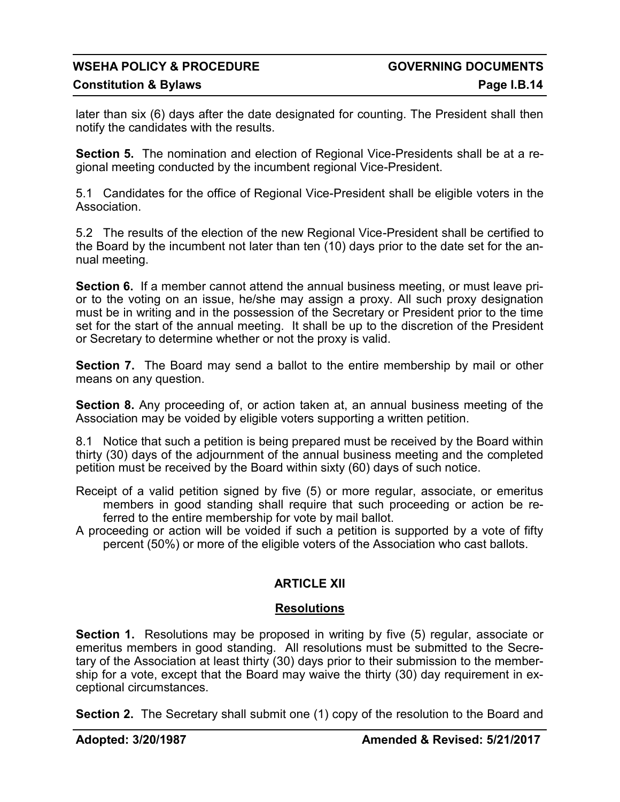## WSEHA POLICY & PROCEDURE **All the COVERNING DOCUMENTS**

later than six (6) days after the date designated for counting. The President shall then notify the candidates with the results.

**Section 5.** The nomination and election of Regional Vice-Presidents shall be at a regional meeting conducted by the incumbent regional Vice-President.

5.1 Candidates for the office of Regional Vice-President shall be eligible voters in the Association.

5.2 The results of the election of the new Regional Vice-President shall be certified to the Board by the incumbent not later than ten (10) days prior to the date set for the annual meeting.

**Section 6.** If a member cannot attend the annual business meeting, or must leave prior to the voting on an issue, he/she may assign a proxy. All such proxy designation must be in writing and in the possession of the Secretary or President prior to the time set for the start of the annual meeting. It shall be up to the discretion of the President or Secretary to determine whether or not the proxy is valid.

**Section 7.** The Board may send a ballot to the entire membership by mail or other means on any question.

**Section 8.** Any proceeding of, or action taken at, an annual business meeting of the Association may be voided by eligible voters supporting a written petition.

8.1 Notice that such a petition is being prepared must be received by the Board within thirty (30) days of the adjournment of the annual business meeting and the completed petition must be received by the Board within sixty (60) days of such notice.

- Receipt of a valid petition signed by five (5) or more regular, associate, or emeritus members in good standing shall require that such proceeding or action be referred to the entire membership for vote by mail ballot.
- A proceeding or action will be voided if such a petition is supported by a vote of fifty percent (50%) or more of the eligible voters of the Association who cast ballots.

### **ARTICLE XII**

### **Resolutions**

**Section 1.** Resolutions may be proposed in writing by five (5) regular, associate or emeritus members in good standing. All resolutions must be submitted to the Secretary of the Association at least thirty (30) days prior to their submission to the membership for a vote, except that the Board may waive the thirty (30) day requirement in exceptional circumstances.

**Section 2.** The Secretary shall submit one (1) copy of the resolution to the Board and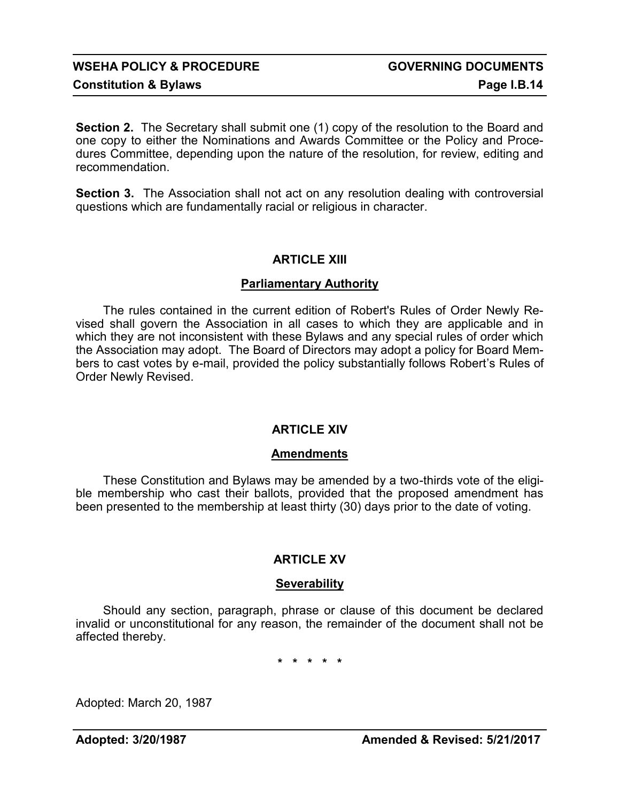**Section 2.** The Secretary shall submit one (1) copy of the resolution to the Board and one copy to either the Nominations and Awards Committee or the Policy and Procedures Committee, depending upon the nature of the resolution, for review, editing and recommendation.

**Section 3.** The Association shall not act on any resolution dealing with controversial questions which are fundamentally racial or religious in character.

### **ARTICLE XIII**

### **Parliamentary Authority**

The rules contained in the current edition of Robert's Rules of Order Newly Revised shall govern the Association in all cases to which they are applicable and in which they are not inconsistent with these Bylaws and any special rules of order which the Association may adopt. The Board of Directors may adopt a policy for Board Members to cast votes by e-mail, provided the policy substantially follows Robert's Rules of Order Newly Revised.

### **ARTICLE XIV**

### **Amendments**

These Constitution and Bylaws may be amended by a two-thirds vote of the eligible membership who cast their ballots, provided that the proposed amendment has been presented to the membership at least thirty (30) days prior to the date of voting.

### **ARTICLE XV**

### **Severability**

Should any section, paragraph, phrase or clause of this document be declared invalid or unconstitutional for any reason, the remainder of the document shall not be affected thereby.

**\* \* \* \* \***

Adopted: March 20, 1987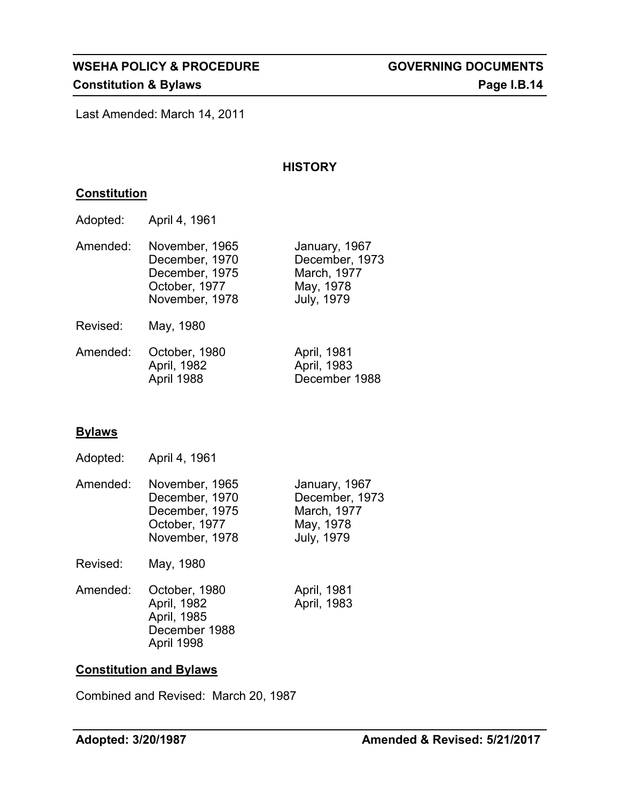Last Amended: March 14, 2011

### **HISTORY**

### **Constitution**

| Adopted: | April 4, 1961 |  |
|----------|---------------|--|
|----------|---------------|--|

| Amended: | November, 1965<br>December, 1970                  | January, 1967<br>December, 1973               |
|----------|---------------------------------------------------|-----------------------------------------------|
|          | December, 1975<br>October, 1977<br>November, 1978 | March, 1977<br>May, 1978<br><b>July, 1979</b> |
| Revised: | May, 1980                                         |                                               |

| Amended: | October, 1980 | April, 1981   |
|----------|---------------|---------------|
|          | April, 1982   | April, 1983   |
|          | April 1988    | December 1988 |

### **Bylaws**

Adopted: April 4, 1961

| Amended: | November, 1965 | January, 1967  |
|----------|----------------|----------------|
|          | December, 1970 | December, 1973 |
|          | December, 1975 | March, 1977    |
|          | October, 1977  | May, 1978      |
|          | November, 1978 | July, 1979     |
|          |                |                |

Revised: May, 1980

| Amended: October, 1980 |
|------------------------|
| April, 1982            |
| April, 1985            |
| December 1988          |
| April 1998             |

April, 1981 April, 1983

### **Constitution and Bylaws**

Combined and Revised: March 20, 1987